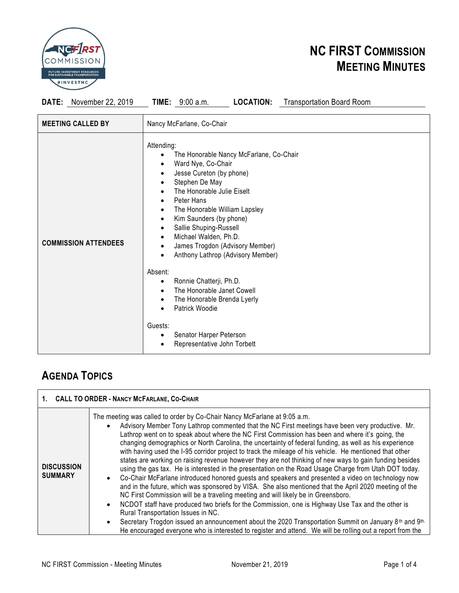

## **NC FIRST COMMISSION MEETING MINUTES**

**DATE:** November 22, 2019 **TIME:** 9:00 a.m. **LOCATION:** Transportation Board Room

| <b>MEETING CALLED BY</b>    | Nancy McFarlane, Co-Chair                                                                                                                                                                                                                                                                                                                                                                                                                                                                                                                                                                                                                                                                                                                                 |
|-----------------------------|-----------------------------------------------------------------------------------------------------------------------------------------------------------------------------------------------------------------------------------------------------------------------------------------------------------------------------------------------------------------------------------------------------------------------------------------------------------------------------------------------------------------------------------------------------------------------------------------------------------------------------------------------------------------------------------------------------------------------------------------------------------|
| <b>COMMISSION ATTENDEES</b> | Attending:<br>The Honorable Nancy McFarlane, Co-Chair<br>Ward Nye, Co-Chair<br>$\bullet$<br>Jesse Cureton (by phone)<br>$\bullet$<br>Stephen De May<br>$\bullet$<br>The Honorable Julie Eiselt<br>$\bullet$<br>Peter Hans<br>$\bullet$<br>The Honorable William Lapsley<br>$\bullet$<br>Kim Saunders (by phone)<br>$\bullet$<br>Sallie Shuping-Russell<br>$\bullet$<br>Michael Walden, Ph.D.<br>$\bullet$<br>James Trogdon (Advisory Member)<br>$\bullet$<br>Anthony Lathrop (Advisory Member)<br>Absent:<br>Ronnie Chatterji, Ph.D.<br>$\bullet$<br>The Honorable Janet Cowell<br>$\bullet$<br>The Honorable Brenda Lyerly<br>$\bullet$<br>Patrick Woodie<br>$\bullet$<br>Guests:<br>Senator Harper Peterson<br>$\bullet$<br>Representative John Torbett |

### **AGENDA TOPICS**

| 1. CALL TO ORDER - NANCY MCFARLANE, CO-CHAIR |                                                                                                                                                                                                                                                                                                                                                                                                                                                                                                                                                                                                                                                                                                                                                                                                                                                                                                                                                                                                                                                                                                                                                                                                                                                                                                                                                                                                                                                             |  |
|----------------------------------------------|-------------------------------------------------------------------------------------------------------------------------------------------------------------------------------------------------------------------------------------------------------------------------------------------------------------------------------------------------------------------------------------------------------------------------------------------------------------------------------------------------------------------------------------------------------------------------------------------------------------------------------------------------------------------------------------------------------------------------------------------------------------------------------------------------------------------------------------------------------------------------------------------------------------------------------------------------------------------------------------------------------------------------------------------------------------------------------------------------------------------------------------------------------------------------------------------------------------------------------------------------------------------------------------------------------------------------------------------------------------------------------------------------------------------------------------------------------------|--|
| <b>DISCUSSION</b><br><b>SUMMARY</b>          | The meeting was called to order by Co-Chair Nancy McFarlane at 9:05 a.m.<br>Advisory Member Tony Lathrop commented that the NC First meetings have been very productive. Mr.<br>$\bullet$<br>Lathrop went on to speak about where the NC First Commission has been and where it's going, the<br>changing demographics or North Carolina, the uncertainty of federal funding, as well as his experience<br>with having used the I-95 corridor project to track the mileage of his vehicle. He mentioned that other<br>states are working on raising revenue however they are not thinking of new ways to gain funding besides<br>using the gas tax. He is interested in the presentation on the Road Usage Charge from Utah DOT today.<br>Co-Chair McFarlane introduced honored guests and speakers and presented a video on technology now<br>$\bullet$<br>and in the future, which was sponsored by VISA. She also mentioned that the April 2020 meeting of the<br>NC First Commission will be a traveling meeting and will likely be in Greensboro.<br>NCDOT staff have produced two briefs for the Commission, one is Highway Use Tax and the other is<br>$\bullet$<br>Rural Transportation Issues in NC.<br>Secretary Trogdon issued an announcement about the 2020 Transportation Summit on January 8 <sup>th</sup> and 9 <sup>th</sup> .<br>He encouraged everyone who is interested to register and attend. We will be rolling out a report from the |  |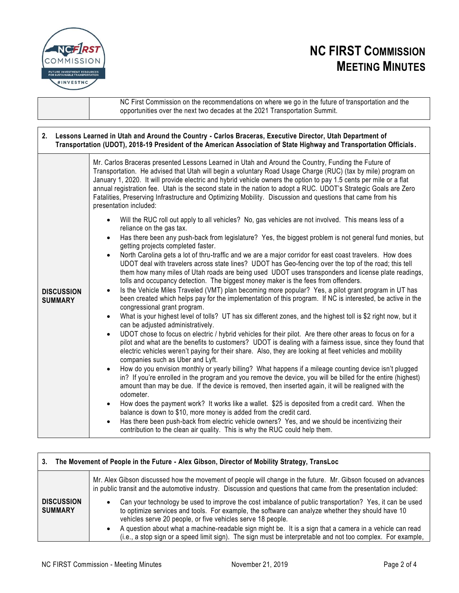

## **NC FIRST COMMISSION MEETING MINUTES**

NC First Commission on the recommendations on where we go in the future of transportation and the opportunities over the next two decades at the 2021 Transportation Summit.

#### **2. Lessons Learned in Utah and Around the Country - Carlos Braceras, Executive Director, Utah Department of Transportation (UDOT), 2018-19 President of the American Association of State Highway and Transportation Officials. DISCUSSION SUMMARY** Mr. Carlos Braceras presented Lessons Learned in Utah and Around the Country, Funding the Future of Transportation. He advised that Utah will begin a voluntary Road Usage Charge (RUC) (tax by mile) program on January 1, 2020. It will provide electric and hybrid vehicle owners the option to pay 1.5 cents per mile or a flat annual registration fee. Utah is the second state in the nation to adopt a RUC. UDOT's Strategic Goals are Zero Fatalities, Preserving Infrastructure and Optimizing Mobility. Discussion and questions that came from his presentation included: • Will the RUC roll out apply to all vehicles? No, gas vehicles are not involved. This means less of a reliance on the gas tax. • Has there been any push-back from legislature? Yes, the biggest problem is not general fund monies, but getting projects completed faster. • North Carolina gets a lot of thru-traffic and we are a major corridor for east coast travelers. How does UDOT deal with travelers across state lines? UDOT has Geo-fencing over the top of the road; this tell them how many miles of Utah roads are being used UDOT uses transponders and license plate readings, tolls and occupancy detection. The biggest money maker is the fees from offenders. • Is the Vehicle Miles Traveled (VMT) plan becoming more popular? Yes, a pilot grant program in UT has been created which helps pay for the implementation of this program. If NC is interested, be active in the congressional grant program. • What is your highest level of tolls? UT has six different zones, and the highest toll is \$2 right now, but it can be adjusted administratively. • UDOT chose to focus on electric / hybrid vehicles for their pilot. Are there other areas to focus on for a pilot and what are the benefits to customers? UDOT is dealing with a fairness issue, since they found that electric vehicles weren't paying for their share. Also, they are looking at fleet vehicles and mobility companies such as Uber and Lyft. • How do you envision monthly or yearly billing? What happens if a mileage counting device isn't plugged in? If you're enrolled in the program and you remove the device, you will be billed for the entire (highest) amount than may be due. If the device is removed, then inserted again, it will be realigned with the odometer. • How does the payment work? It works like a wallet. \$25 is deposited from a credit card. When the balance is down to \$10, more money is added from the credit card. • Has there been push-back from electric vehicle owners? Yes, and we should be incentivizing their contribution to the clean air quality. This is why the RUC could help them.

| The Movement of People in the Future - Alex Gibson, Director of Mobility Strategy, TransLoc<br>3. |                                                                                                                                                                                                                                                                                                                                                                                                                                                                                                                                  |  |
|---------------------------------------------------------------------------------------------------|----------------------------------------------------------------------------------------------------------------------------------------------------------------------------------------------------------------------------------------------------------------------------------------------------------------------------------------------------------------------------------------------------------------------------------------------------------------------------------------------------------------------------------|--|
|                                                                                                   | Mr. Alex Gibson discussed how the movement of people will change in the future. Mr. Gibson focused on advances<br>in public transit and the automotive industry. Discussion and questions that came from the presentation included:                                                                                                                                                                                                                                                                                              |  |
| <b>DISCUSSION</b><br><b>SUMMARY</b>                                                               | Can your technology be used to improve the cost imbalance of public transportation? Yes, it can be used<br>$\bullet$<br>to optimize services and tools. For example, the software can analyze whether they should have 10<br>vehicles serve 20 people, or five vehicles serve 18 people.<br>A question about what a machine-readable sign might be. It is a sign that a camera in a vehicle can read<br>$\bullet$<br>(i.e., a stop sign or a speed limit sign). The sign must be interpretable and not too complex. For example, |  |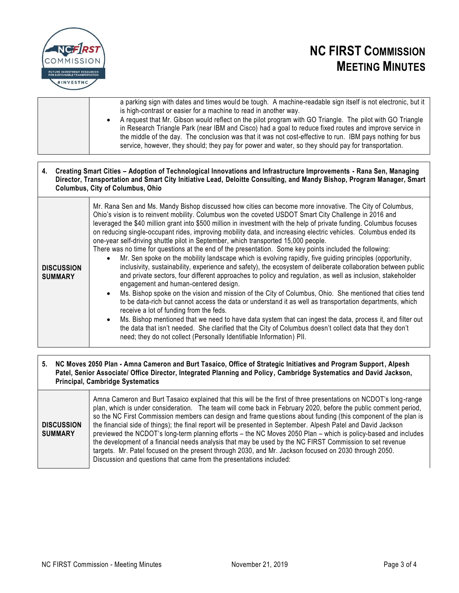



a parking sign with dates and times would be tough. A machine-readable sign itself is not electronic, but it is high-contrast or easier for a machine to read in another way. • A request that Mr. Gibson would reflect on the pilot program with GO Triangle. The pilot with GO Triangle in Research Triangle Park (near IBM and Cisco) had a goal to reduce fixed routes and improve service in the middle of the day. The conclusion was that it was not cost-effective to run. IBM pays nothing for bus service, however, they should; they pay for power and water, so they should pay for transportation.

**4. Creating Smart Cities – Adoption of Technological Innovations and Infrastructure Improvements - Rana Sen, Managing Director, Transportation and Smart City Initiative Lead, Deloitte Consulting, and Mandy Bishop, Program Manager, Smart Columbus, City of Columbus, Ohio**

| <b>DISCUSSION</b><br><b>SUMMARY</b> | Mr. Rana Sen and Ms. Mandy Bishop discussed how cities can become more innovative. The City of Columbus,<br>Ohio's vision is to reinvent mobility. Columbus won the coveted USDOT Smart City Challenge in 2016 and<br>leveraged the \$40 million grant into \$500 million in investment with the help of private funding. Columbus focuses<br>on reducing single-occupant rides, improving mobility data, and increasing electric vehicles. Columbus ended its<br>one-year self-driving shuttle pilot in September, which transported 15,000 people.<br>There was no time for questions at the end of the presentation. Some key points included the following:<br>Mr. Sen spoke on the mobility landscape which is evolving rapidly, five guiding principles (opportunity,<br>inclusivity, sustainability, experience and safety), the ecosystem of deliberate collaboration between public<br>and private sectors, four different approaches to policy and regulation, as well as inclusion, stakeholder<br>engagement and human-centered design.<br>• Ms. Bishop spoke on the vision and mission of the City of Columbus, Ohio. She mentioned that cities tend<br>to be data-rich but cannot access the data or understand it as well as transportation departments, which<br>receive a lot of funding from the feds.<br>• Ms. Bishop mentioned that we need to have data system that can ingest the data, process it, and filter out<br>the data that isn't needed. She clarified that the City of Columbus doesn't collect data that they don't<br>need; they do not collect (Personally Identifiable Information) PII. |
|-------------------------------------|------------------------------------------------------------------------------------------------------------------------------------------------------------------------------------------------------------------------------------------------------------------------------------------------------------------------------------------------------------------------------------------------------------------------------------------------------------------------------------------------------------------------------------------------------------------------------------------------------------------------------------------------------------------------------------------------------------------------------------------------------------------------------------------------------------------------------------------------------------------------------------------------------------------------------------------------------------------------------------------------------------------------------------------------------------------------------------------------------------------------------------------------------------------------------------------------------------------------------------------------------------------------------------------------------------------------------------------------------------------------------------------------------------------------------------------------------------------------------------------------------------------------------------------------------------------------------------------------------------------------------|
|-------------------------------------|------------------------------------------------------------------------------------------------------------------------------------------------------------------------------------------------------------------------------------------------------------------------------------------------------------------------------------------------------------------------------------------------------------------------------------------------------------------------------------------------------------------------------------------------------------------------------------------------------------------------------------------------------------------------------------------------------------------------------------------------------------------------------------------------------------------------------------------------------------------------------------------------------------------------------------------------------------------------------------------------------------------------------------------------------------------------------------------------------------------------------------------------------------------------------------------------------------------------------------------------------------------------------------------------------------------------------------------------------------------------------------------------------------------------------------------------------------------------------------------------------------------------------------------------------------------------------------------------------------------------------|

#### **5. NC Moves 2050 Plan - Amna Cameron and Burt Tasaico, Office of Strategic Initiatives and Program Support, Alpesh Patel, Senior Associate/ Office Director, Integrated Planning and Policy, Cambridge Systematics and David Jackson, Principal, Cambridge Systematics**

| <b>DISCUSSION</b><br><b>SUMMARY</b> | Amna Cameron and Burt Tasaico explained that this will be the first of three presentations on NCDOT's long-range<br>plan, which is under consideration. The team will come back in February 2020, before the public comment period,<br>so the NC First Commission members can design and frame questions about funding (this component of the plan is<br>the financial side of things); the final report will be presented in September. Alpesh Patel and David Jackson<br>previewed the NCDOT's long-term planning efforts – the NC Moves 2050 Plan – which is policy-based and includes<br>the development of a financial needs analysis that may be used by the NC FIRST Commission to set revenue<br>targets. Mr. Patel focused on the present through 2030, and Mr. Jackson focused on 2030 through 2050.<br>Discussion and questions that came from the presentations included: |
|-------------------------------------|---------------------------------------------------------------------------------------------------------------------------------------------------------------------------------------------------------------------------------------------------------------------------------------------------------------------------------------------------------------------------------------------------------------------------------------------------------------------------------------------------------------------------------------------------------------------------------------------------------------------------------------------------------------------------------------------------------------------------------------------------------------------------------------------------------------------------------------------------------------------------------------|
|-------------------------------------|---------------------------------------------------------------------------------------------------------------------------------------------------------------------------------------------------------------------------------------------------------------------------------------------------------------------------------------------------------------------------------------------------------------------------------------------------------------------------------------------------------------------------------------------------------------------------------------------------------------------------------------------------------------------------------------------------------------------------------------------------------------------------------------------------------------------------------------------------------------------------------------|